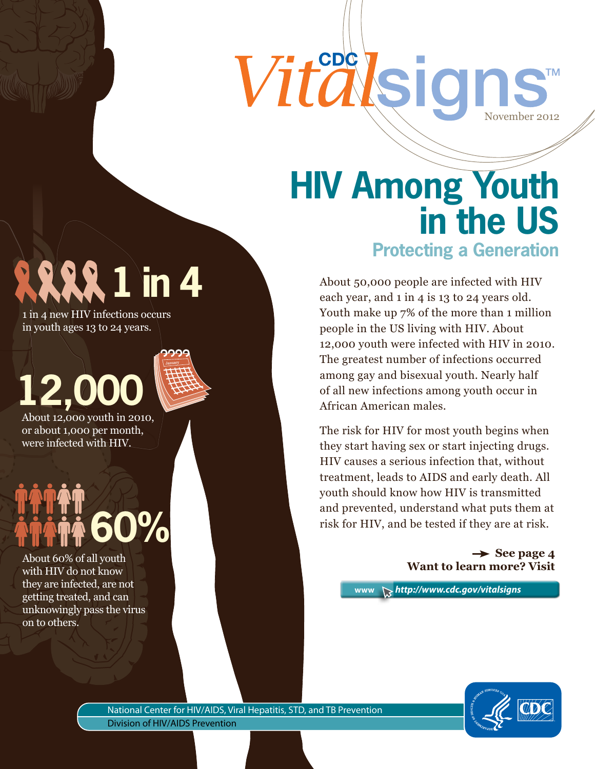### Vitc Ians November 2012

### **HIV Among Youth in the US Protecting a Generation**

About 50,000 people are infected with HIV each year, and 1 in 4 is 13 to 24 years old. Youth make up 7% of the more than 1 million people in the US living with HIV. About 12,000 youth were infected with HIV in 2010. The greatest number of infections occurred among gay and bisexual youth. Nearly half of all new infections among youth occur in African American males.

The risk for HIV for most youth begins when they start having sex or start injecting drugs. HIV causes a serious infection that, without treatment, leads to AIDS and early death. All youth should know how HIV is transmitted and prevented, understand what puts them at risk for HIV, and be tested if they are at risk.

> $\rightarrow$  See page 4 **Want to learn more? Visit**

 **www** *http://www.cdc.gov/vitalsigns*



1 in 4 new HIV infections occurs in youth ages 13 to 24 years.

# **12,000**



About 12,000 youth in 2010, or about 1,000 per month, were infected with HIV.

# **60%**

About 60% of all youth with HIV do not know they are infected, are not getting treated, and can unknowingly pass the virus on to others.

> National Center for HIV/AIDS, Viral Hepatitis, STD, and TB Prevention Division of HIV/AIDS Prevention

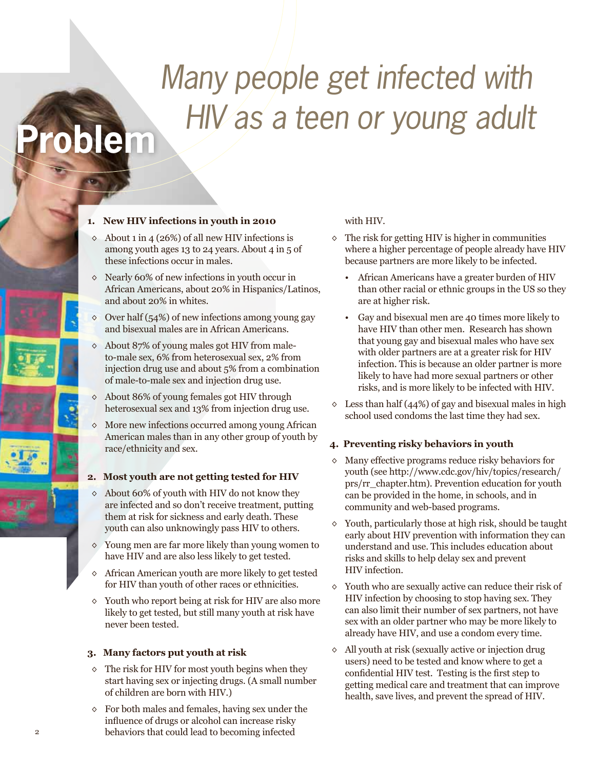### *Many people get infected with HIV as a teen or young adult*

#### **1. New HIV infections in youth in 2010**

**p** em

- $\Diamond$  About 1 in 4 (26%) of all new HIV infections is among youth ages 13 to 24 years. About 4 in 5 of these infections occur in males.
- ◊ Nearly 60% of new infections in youth occur in African Americans, about 20% in Hispanics/Latinos, and about 20% in whites.
- $\Diamond$  Over half (54%) of new infections among young gay and bisexual males are in African Americans.
- ◊ About 87% of young males got HIV from maleto-male sex, 6% from heterosexual sex, 2% from injection drug use and about 5% from a combination of male-to-male sex and injection drug use.
- ◊ About 86% of young females got HIV through heterosexual sex and 13% from injection drug use.
- ◊ More new infections occurred among young African American males than in any other group of youth by race/ethnicity and sex.

#### **2. Most youth are not getting tested for HIV**

- ◊ About 60% of youth with HIV do not know they are infected and so don't receive treatment, putting them at risk for sickness and early death. These youth can also unknowingly pass HIV to others.
- ◊ Young men are far more likely than young women to have HIV and are also less likely to get tested.
- ◊ African American youth are more likely to get tested for HIV than youth of other races or ethnicities.
- ◊ Youth who report being at risk for HIV are also more likely to get tested, but still many youth at risk have never been tested.

#### **3. Many factors put youth at risk**

- $\Diamond$  The risk for HIV for most youth begins when they start having sex or injecting drugs. (A small number of children are born with HIV.)
- $\Diamond$  For both males and females, having sex under the influence of drugs or alcohol can increase risky behaviors that could lead to becoming infected

#### with HIV.

- $\Diamond$  The risk for getting HIV is higher in communities where a higher percentage of people already have HIV because partners are more likely to be infected.
	- African Americans have a greater burden of HIV than other racial or ethnic groups in the US so they are at higher risk.
	- Gay and bisexual men are 40 times more likely to have HIV than other men. Research has shown that young gay and bisexual males who have sex with older partners are at a greater risk for HIV infection. This is because an older partner is more likely to have had more sexual partners or other risks, and is more likely to be infected with HIV.
- $\Diamond$  Less than half (44%) of gay and bisexual males in high school used condoms the last time they had sex.

#### **4. Preventing risky behaviors in youth**

- ◊ Many effective programs reduce risky behaviors for youth (see http://www.cdc.gov/hiv/topics/research/ prs/rr\_chapter.htm). Prevention education for youth can be provided in the home, in schools, and in community and web-based programs.
- ◊ Youth, particularly those at high risk, should be taught early about HIV prevention with information they can understand and use. This includes education about risks and skills to help delay sex and prevent HIV infection.
- ◊ Youth who are sexually active can reduce their risk of HIV infection by choosing to stop having sex. They can also limit their number of sex partners, not have sex with an older partner who may be more likely to already have HIV, and use a condom every time.
- ◊ All youth at risk (sexually active or injection drug users) need to be tested and know where to get a confidential HIV test. Testing is the first step to getting medical care and treatment that can improve health, save lives, and prevent the spread of HIV.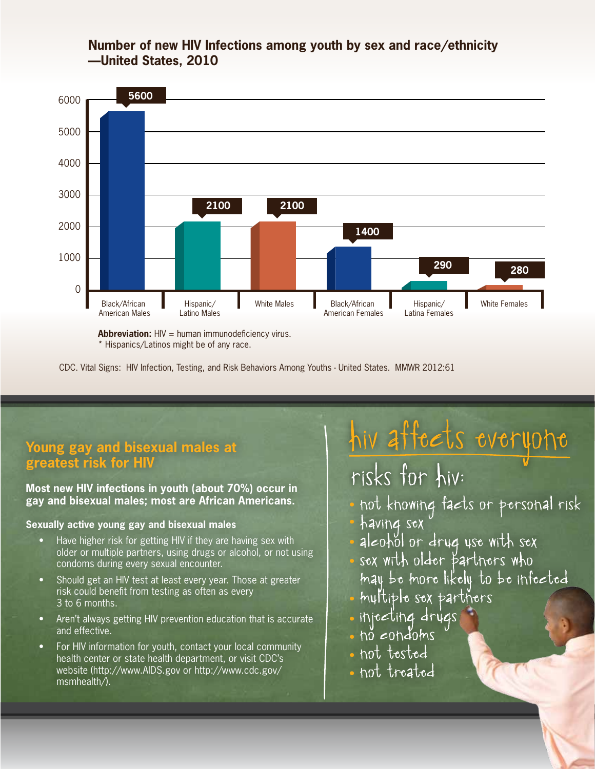#### **Number of new HIV Infections among youth by sex and race/ethnicity —United States, 2010**



**Abbreviation:** HIV = human immunodeficiency virus. \* Hispanics/Latinos might be of any race.

CDC. Vital Signs: HIV Infection, Testing, and Risk Behaviors Among Youths - United States. MMWR 2012:61

#### **Young gay and bisexual males at greatest risk for HIV**

**Most new HIV infections in youth (about 70%) occur in gay and bisexual males; most are African Americans.** 

#### **Sexually active young gay and bisexual males**

- Have higher risk for getting HIV if they are having sex with older or multiple partners, using drugs or alcohol, or not using condoms during every sexual encounter.
- Should get an HIV test at least every year. Those at greater risk could benefit from testing as often as every 3 to 6 months.
- Aren't always getting HIV prevention education that is accurate and effective.
- For HIV information for youth, contact your local community health center or state health department, or visit CDC's website (http://www.AIDS.gov or http://www.cdc.gov/ msmhealth/).

### hiv affects everyone

### risks for hiv:

- not knowing facts or personal risk
- having sex
- alcohol or drug use with sex
- sex with older partners who may be more likely to be infected multiple sex partners

3

- injecting drygs
- $ho$  condoms
- not tested
- not treated